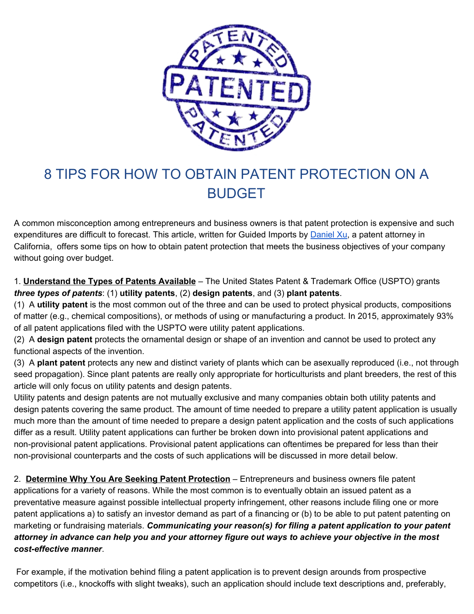

## 8 TIPS FOR HOW TO OBTAIN PATENT PROTECTION ON A BUDGET

A common misconception among entrepreneurs and business owners is that patent protection is expensive and such expenditures are difficult to forecast. This article, written for Guided Imports by [Daniel Xu](http://lbhip.com/professionals/daniel-x-xu/), a patent attorney in California, offers some tips on how to obtain patent protection that meets the business objectives of your company without going over budget.

1. **Understand the Types of Patents Available** – The United States Patent & Trademark Office (USPTO) grants *three types of patents*: (1) **utility patents**, (2) **design patents**, and (3) **plant patents**.

(1) A **utility patent** is the most common out of the three and can be used to protect physical products, compositions of matter (e.g., chemical compositions), or methods of using or manufacturing a product. In 2015, approximately 93% of all patent applications filed with the USPTO were utility patent applications.

(2) A **design patent** protects the ornamental design or shape of an invention and cannot be used to protect any functional aspects of the invention.

(3) A **plant patent** protects any new and distinct variety of plants which can be asexually reproduced (i.e., not through seed propagation). Since plant patents are really only appropriate for horticulturists and plant breeders, the rest of this article will only focus on utility patents and design patents.

Utility patents and design patents are not mutually exclusive and many companies obtain both utility patents and design patents covering the same product. The amount of time needed to prepare a utility patent application is usually much more than the amount of time needed to prepare a design patent application and the costs of such applications differ as a result. Utility patent applications can further be broken down into provisional patent applications and non-provisional patent applications. Provisional patent applications can oftentimes be prepared for less than their non-provisional counterparts and the costs of such applications will be discussed in more detail below.

2. **Determine Why You Are Seeking Patent Protection** – Entrepreneurs and business owners file patent applications for a variety of reasons. While the most common is to eventually obtain an issued patent as a preventative measure against possible intellectual property infringement, other reasons include filing one or more patent applications a) to satisfy an investor demand as part of a financing or (b) to be able to put patent patenting on marketing or fundraising materials. *Communicating your reason(s) for filing a patent application to your patent attorney in advance can help you and your attorney figure out ways to achieve your objective in the most cost-effective manner*.

 For example, if the motivation behind filing a patent application is to prevent design arounds from prospective competitors (i.e., knockoffs with slight tweaks), such an application should include text descriptions and, preferably,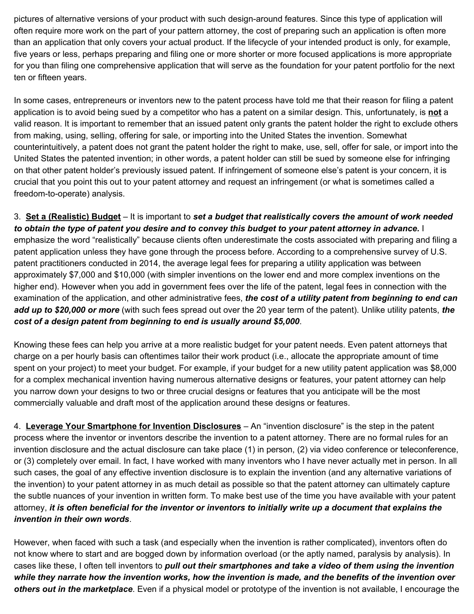pictures of alternative versions of your product with such design-around features. Since this type of application will often require more work on the part of your pattern attorney, the cost of preparing such an application is often more than an application that only covers your actual product. If the lifecycle of your intended product is only, for example, five years or less, perhaps preparing and filing one or more shorter or more focused applications is more appropriate for you than filing one comprehensive application that will serve as the foundation for your patent portfolio for the next ten or fifteen years.

In some cases, entrepreneurs or inventors new to the patent process have told me that their reason for filing a patent application is to avoid being sued by a competitor who has a patent on a similar design. This, unfortunately, is **not** a valid reason. It is important to remember that an issued patent only grants the patent holder the right to exclude others from making, using, selling, offering for sale, or importing into the United States the invention. Somewhat counterintuitively, a patent does not grant the patent holder the right to make, use, sell, offer for sale, or import into the United States the patented invention; in other words, a patent holder can still be sued by someone else for infringing on that other patent holder's previously issued patent. If infringement of someone else's patent is your concern, it is crucial that you point this out to your patent attorney and request an infringement (or what is sometimes called a freedom-to-operate) analysis.

3. **Set a (Realistic) Budget** – It is important to *set a budget that realistically covers the amount of work needed to obtain the type of patent you desire and to convey this budget to your patent attorney in advance.* I emphasize the word "realistically" because clients often underestimate the costs associated with preparing and filing a patent application unless they have gone through the process before. According to a comprehensive survey of U.S. patent practitioners conducted in 2014, the average legal fees for preparing a utility application was between approximately \$7,000 and \$10,000 (with simpler inventions on the lower end and more complex inventions on the higher end). However when you add in government fees over the life of the patent, legal fees in connection with the examination of the application, and other administrative fees, *the cost of a utility patent from beginning to end can add up to \$20,000 or more* (with such fees spread out over the 20 year term of the patent). Unlike utility patents, *the cost of a design patent from beginning to end is usually around \$5,000*.

Knowing these fees can help you arrive at a more realistic budget for your patent needs. Even patent attorneys that charge on a per hourly basis can oftentimes tailor their work product (i.e., allocate the appropriate amount of time spent on your project) to meet your budget. For example, if your budget for a new utility patent application was \$8,000 for a complex mechanical invention having numerous alternative designs or features, your patent attorney can help you narrow down your designs to two or three crucial designs or features that you anticipate will be the most commercially valuable and draft most of the application around these designs or features.

4. **Leverage Your Smartphone for Invention Disclosures** – An "invention disclosure" is the step in the patent process where the inventor or inventors describe the invention to a patent attorney. There are no formal rules for an invention disclosure and the actual disclosure can take place (1) in person, (2) via video conference or teleconference, or (3) completely over email. In fact, I have worked with many inventors who I have never actually met in person. In all such cases, the goal of any effective invention disclosure is to explain the invention (and any alternative variations of the invention) to your patent attorney in as much detail as possible so that the patent attorney can ultimately capture the subtle nuances of your invention in written form. To make best use of the time you have available with your patent attorney, *it is often beneficial for the inventor or inventors to initially write up a document that explains the invention in their own words*.

However, when faced with such a task (and especially when the invention is rather complicated), inventors often do not know where to start and are bogged down by information overload (or the aptly named, paralysis by analysis). In cases like these, I often tell inventors to *pull out their smartphones and take a video of them using the invention while they narrate how the invention works, how the invention is made, and the benefits of the invention over others out in the marketplace*. Even if a physical model or prototype of the invention is not available, I encourage the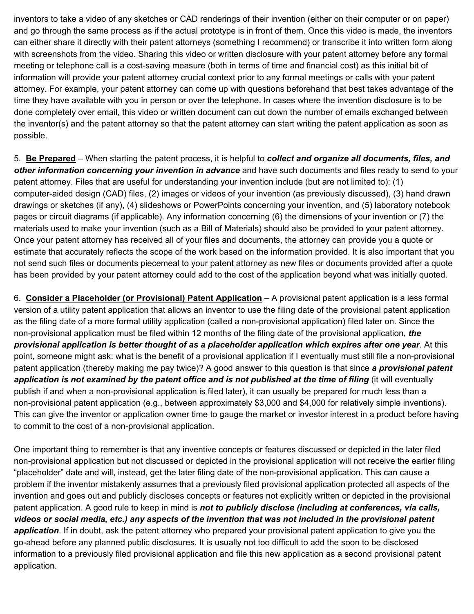inventors to take a video of any sketches or CAD renderings of their invention (either on their computer or on paper) and go through the same process as if the actual prototype is in front of them. Once this video is made, the inventors can either share it directly with their patent attorneys (something I recommend) or transcribe it into written form along with screenshots from the video. Sharing this video or written disclosure with your patent attorney before any formal meeting or telephone call is a cost-saving measure (both in terms of time and financial cost) as this initial bit of information will provide your patent attorney crucial context prior to any formal meetings or calls with your patent attorney. For example, your patent attorney can come up with questions beforehand that best takes advantage of the time they have available with you in person or over the telephone. In cases where the invention disclosure is to be done completely over email, this video or written document can cut down the number of emails exchanged between the inventor(s) and the patent attorney so that the patent attorney can start writing the patent application as soon as possible.

5. **Be Prepared** – When starting the patent process, it is helpful to *collect and organize all documents, files, and other information concerning your invention in advance* and have such documents and files ready to send to your patent attorney. Files that are useful for understanding your invention include (but are not limited to): (1) computer-aided design (CAD) files, (2) images or videos of your invention (as previously discussed), (3) hand drawn drawings or sketches (if any), (4) slideshows or PowerPoints concerning your invention, and (5) laboratory notebook pages or circuit diagrams (if applicable). Any information concerning (6) the dimensions of your invention or (7) the materials used to make your invention (such as a Bill of Materials) should also be provided to your patent attorney. Once your patent attorney has received all of your files and documents, the attorney can provide you a quote or estimate that accurately reflects the scope of the work based on the information provided. It is also important that you not send such files or documents piecemeal to your patent attorney as new files or documents provided after a quote has been provided by your patent attorney could add to the cost of the application beyond what was initially quoted.

6. **Consider a Placeholder (or Provisional) Patent Application** – A provisional patent application is a less formal version of a utility patent application that allows an inventor to use the filing date of the provisional patent application as the filing date of a more formal utility application (called a non-provisional application) filed later on. Since the non-provisional application must be filed within 12 months of the filing date of the provisional application, *the provisional application is better thought of as a placeholder application which expires after one year*. At this point, someone might ask: what is the benefit of a provisional application if I eventually must still file a non-provisional patent application (thereby making me pay twice)? A good answer to this question is that since *a provisional patent application is not examined by the patent office and is not published at the time of filing* (it will eventually publish if and when a non-provisional application is filed later), it can usually be prepared for much less than a non-provisional patent application (e.g., between approximately \$3,000 and \$4,000 for relatively simple inventions). This can give the inventor or application owner time to gauge the market or investor interest in a product before having to commit to the cost of a non-provisional application.

One important thing to remember is that any inventive concepts or features discussed or depicted in the later filed non-provisional application but not discussed or depicted in the provisional application will not receive the earlier filing "placeholder" date and will, instead, get the later filing date of the non-provisional application. This can cause a problem if the inventor mistakenly assumes that a previously filed provisional application protected all aspects of the invention and goes out and publicly discloses concepts or features not explicitly written or depicted in the provisional patent application. A good rule to keep in mind is *not to publicly disclose (including at conferences, via calls, videos or social media, etc.) any aspects of the invention that was not included in the provisional patent application*. If in doubt, ask the patent attorney who prepared your provisional patent application to give you the go-ahead before any planned public disclosures. It is usually not too difficult to add the soon to be disclosed information to a previously filed provisional application and file this new application as a second provisional patent application.